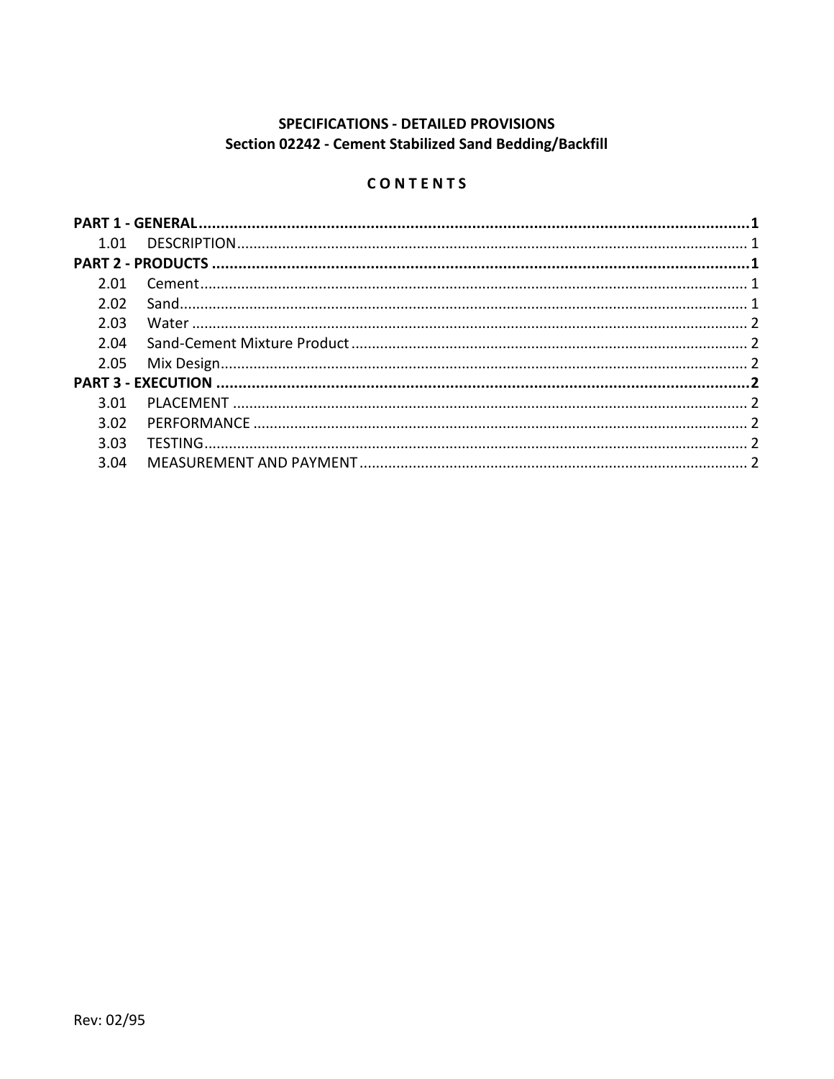# **SPECIFICATIONS - DETAILED PROVISIONS** Section 02242 - Cement Stabilized Sand Bedding/Backfill

# CONTENTS

| 2.01 |  |  |
|------|--|--|
| 2.02 |  |  |
| 2.03 |  |  |
| 2.04 |  |  |
|      |  |  |
|      |  |  |
| 3.01 |  |  |
| 3.02 |  |  |
| 3.03 |  |  |
| 3.04 |  |  |
|      |  |  |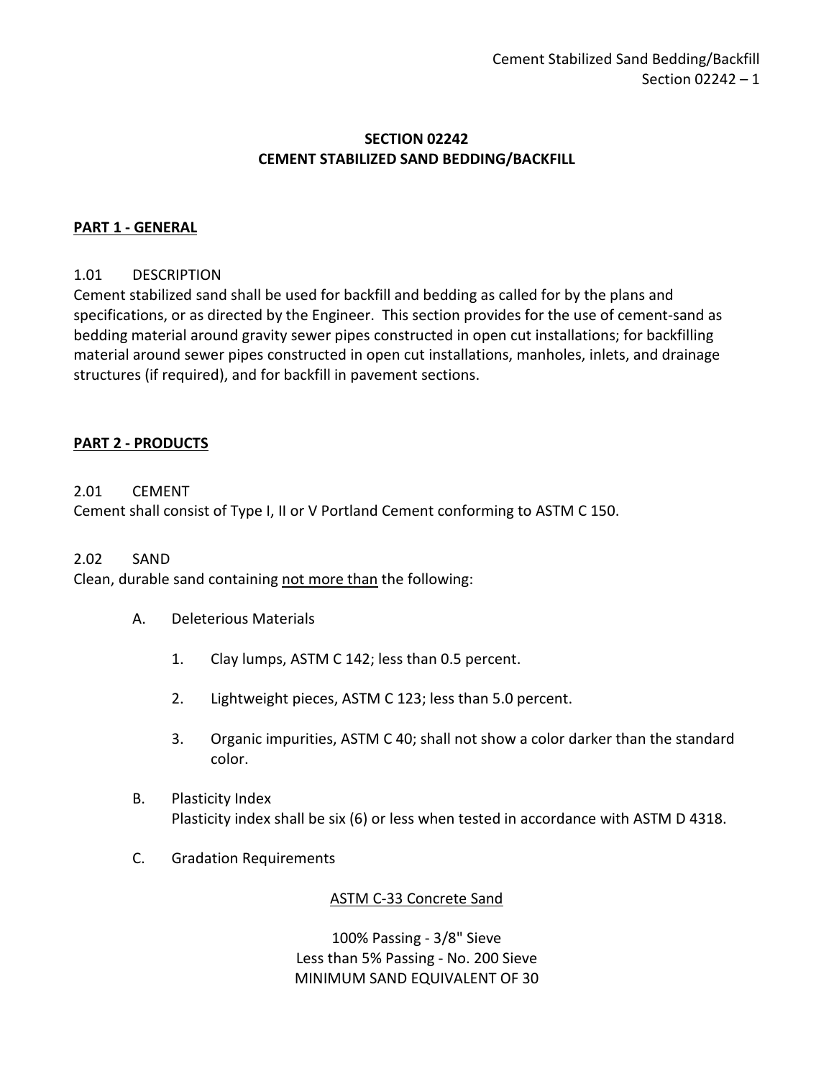## **SECTION 02242 CEMENT STABILIZED SAND BEDDING/BACKFILL**

## <span id="page-2-0"></span>**PART 1 - GENERAL**

#### <span id="page-2-1"></span>1.01 DESCRIPTION

Cement stabilized sand shall be used for backfill and bedding as called for by the plans and specifications, or as directed by the Engineer. This section provides for the use of cement-sand as bedding material around gravity sewer pipes constructed in open cut installations; for backfilling material around sewer pipes constructed in open cut installations, manholes, inlets, and drainage structures (if required), and for backfill in pavement sections.

#### <span id="page-2-2"></span>**PART 2 - PRODUCTS**

#### <span id="page-2-3"></span>2.01 CEMENT

Cement shall consist of Type I, II or V Portland Cement conforming to ASTM C 150.

#### <span id="page-2-4"></span>2.02 SAND

Clean, durable sand containing not more than the following:

- A. Deleterious Materials
	- 1. Clay lumps, ASTM C 142; less than 0.5 percent.
	- 2. Lightweight pieces, ASTM C 123; less than 5.0 percent.
	- 3. Organic impurities, ASTM C 40; shall not show a color darker than the standard color.
- B. Plasticity Index Plasticity index shall be six (6) or less when tested in accordance with ASTM D 4318.
- C. Gradation Requirements

#### ASTM C-33 Concrete Sand

100% Passing - 3/8" Sieve Less than 5% Passing - No. 200 Sieve MINIMUM SAND EQUIVALENT OF 30